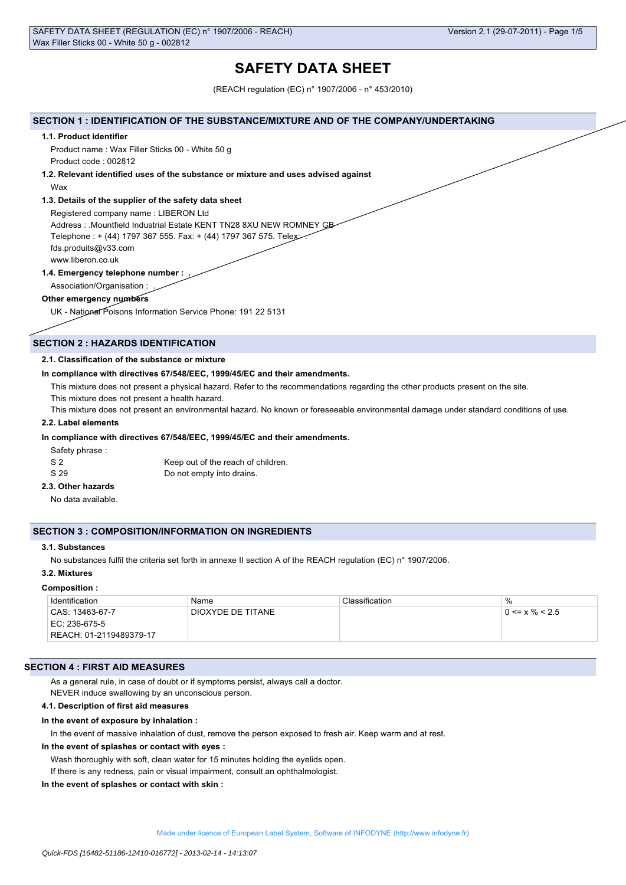# **SAFETY DATA SHEET**

(REACH regulation (EC) n° 1907/2006 - n° 453/2010)

### **SECTION 1 : IDENTIFICATION OF THE SUBSTANCE/MIXTURE AND OF THE COMPANY/UNDERTAKING**

#### **1.1. Product identifier**

Product name : Wax Filler Sticks 00 - White 50 g Product code : 002812

# **1.2. Relevant identified uses of the substance or mixture and uses advised against**

Wax

# **1.3. Details of the supplier of the safety data sheet**

Registered company name : LIBERON Ltd Address : .Mountfield Industrial Estate KENT TN28 8XU NEW ROMNEY GB Telephone : + (44) 1797 367 555. Fax: + (44) 1797 367 575. Telex: . fds.produits@v33.com www.liberon.co.uk

**1.4. Emergency telephone number : .** Association/Organisation : .

#### **Other emergency numbers**

UK - National Poisons Information Service Phone: 191 22 5131

# **SECTION 2 : HAZARDS IDENTIFICATION**

### **2.1. Classification of the substance or mixture**

#### **In compliance with directives 67/548/EEC, 1999/45/EC and their amendments.**

This mixture does not present a physical hazard. Refer to the recommendations regarding the other products present on the site.

This mixture does not present a health hazard.

This mixture does not present an environmental hazard. No known or foreseeable environmental damage under standard conditions of use.

# **2.2. Label elements**

### **In compliance with directives 67/548/EEC, 1999/45/EC and their amendments.**

Safety phrase :

| S 2  | Keep out of the reach of children. |
|------|------------------------------------|
| S 29 | Do not empty into drains.          |

# **2.3. Other hazards**

No data available.

# **SECTION 3 : COMPOSITION/INFORMATION ON INGREDIENTS**

# **3.1. Substances**

No substances fulfil the criteria set forth in annexe II section A of the REACH regulation (EC) n° 1907/2006.

#### **3.2. Mixtures**

#### **Composition :**

| Identification          | Name              | Classification | $\%$                 |
|-------------------------|-------------------|----------------|----------------------|
| CAS: 13463-67-7         | DIOXYDE DE TITANE |                | $0 \le x \% \le 2.5$ |
| EC: 236-675-5           |                   |                |                      |
| REACH: 01-2119489379-17 |                   |                |                      |

# **SECTION 4 : FIRST AID MEASURES**

As a general rule, in case of doubt or if symptoms persist, always call a doctor.

NEVER induce swallowing by an unconscious person.

# **4.1. Description of first aid measures**

#### **In the event of exposure by inhalation :**

In the event of massive inhalation of dust, remove the person exposed to fresh air. Keep warm and at rest.

#### **In the event of splashes or contact with eyes :**

Wash thoroughly with soft, clean water for 15 minutes holding the eyelids open. If there is any redness, pain or visual impairment, consult an ophthalmologist.

#### **In the event of splashes or contact with skin :**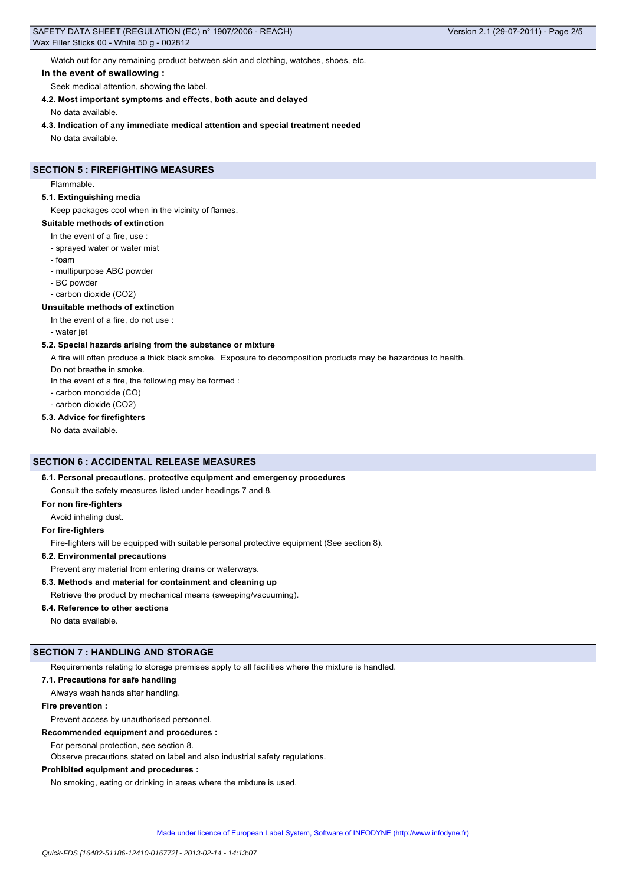Watch out for any remaining product between skin and clothing, watches, shoes, etc.

# **In the event of swallowing :**

Seek medical attention, showing the label.

# **4.2. Most important symptoms and effects, both acute and delayed**

No data available.

**4.3. Indication of any immediate medical attention and special treatment needed**

No data available.

# **SECTION 5 : FIREFIGHTING MEASURES**

Flammable.

#### **5.1. Extinguishing media**

Keep packages cool when in the vicinity of flames.

# **Suitable methods of extinction**

- In the event of a fire, use :
- sprayed water or water mist
- foam
- multipurpose ABC powder
- BC powder
- carbon dioxide (CO2)

#### **Unsuitable methods of extinction**

In the event of a fire, do not use :

- water jet

### **5.2. Special hazards arising from the substance or mixture**

A fire will often produce a thick black smoke. Exposure to decomposition products may be hazardous to health.

Do not breathe in smoke.

In the event of a fire, the following may be formed :

- carbon monoxide (CO)
- carbon dioxide (CO2)

#### **5.3. Advice for firefighters**

No data available.

# **SECTION 6 : ACCIDENTAL RELEASE MEASURES**

# **6.1. Personal precautions, protective equipment and emergency procedures**

Consult the safety measures listed under headings 7 and 8.

# **For non fire-fighters**

Avoid inhaling dust.

#### **For fire-fighters**

Fire-fighters will be equipped with suitable personal protective equipment (See section 8).

#### **6.2. Environmental precautions**

Prevent any material from entering drains or waterways.

# **6.3. Methods and material for containment and cleaning up**

Retrieve the product by mechanical means (sweeping/vacuuming).

#### **6.4. Reference to other sections**

No data available.

# **SECTION 7 : HANDLING AND STORAGE**

Requirements relating to storage premises apply to all facilities where the mixture is handled.

### **7.1. Precautions for safe handling**

Always wash hands after handling.

#### **Fire prevention :**

# Prevent access by unauthorised personnel.

**Recommended equipment and procedures :**

For personal protection, see section 8.

Observe precautions stated on label and also industrial safety regulations.

# **Prohibited equipment and procedures :**

No smoking, eating or drinking in areas where the mixture is used.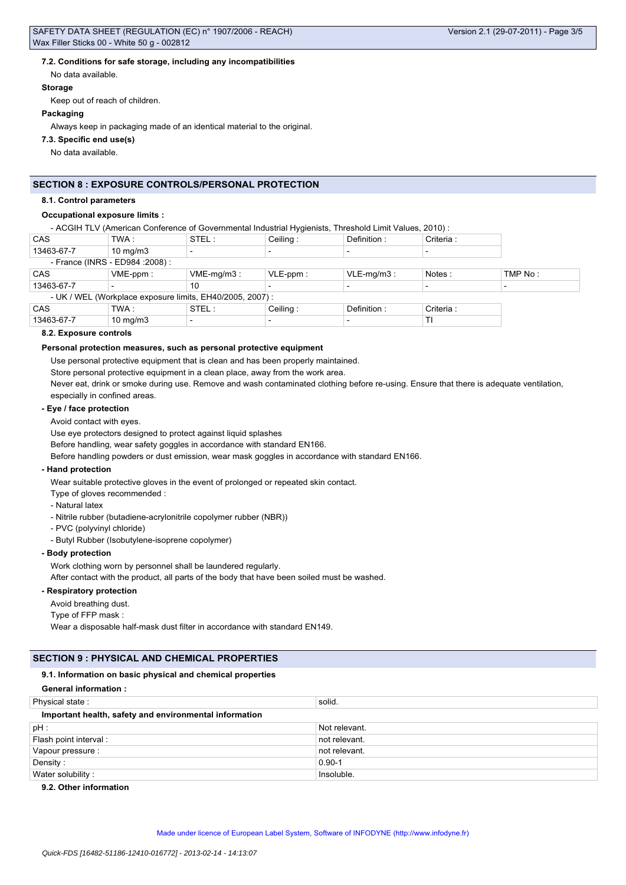# **7.2. Conditions for safe storage, including any incompatibilities**

No data available.

#### **Storage**

Keep out of reach of children.

#### **Packaging**

Always keep in packaging made of an identical material to the original.

## **7.3. Specific end use(s)**

No data available.

# **SECTION 8 : EXPOSURE CONTROLS/PERSONAL PROTECTION**

#### **8.1. Control parameters**

## **Occupational exposure limits :**

- ACGIH TLV (American Conference of Governmental Industrial Hygienists, Threshold Limit Values, 2010) :

| CAS                                                       | TWA :             | STEL:         | Ceiling:    | Definition:              | Criteria : |         |
|-----------------------------------------------------------|-------------------|---------------|-------------|--------------------------|------------|---------|
| 13463-67-7                                                | $10 \text{ mg/m}$ |               |             |                          |            |         |
| - France (INRS - ED984 : 2008) :                          |                   |               |             |                          |            |         |
| CAS                                                       | $VME-ppm$ :       | $VME-mq/m3$ : | $VLE-ppm$ : | $VLE-mq/m3$ :            | Notes:     | TMP No: |
| 13463-67-7                                                |                   | 10            |             |                          |            |         |
| - UK / WEL (Workplace exposure limits, EH40/2005, 2007) : |                   |               |             |                          |            |         |
| CAS                                                       | TWA :             | STEL:         | Ceiling:    | Definition:              | Criteria : |         |
| 13463-67-7                                                | $10$ mg/m $3$     |               |             | $\overline{\phantom{0}}$ | TI         |         |

### **8.2. Exposure controls**

#### **Personal protection measures, such as personal protective equipment**

Use personal protective equipment that is clean and has been properly maintained.

Store personal protective equipment in a clean place, away from the work area.

Never eat, drink or smoke during use. Remove and wash contaminated clothing before re-using. Ensure that there is adequate ventilation, especially in confined areas.

### **- Eye / face protection**

#### Avoid contact with eyes.

Use eye protectors designed to protect against liquid splashes

Before handling, wear safety goggles in accordance with standard EN166.

Before handling powders or dust emission, wear mask goggles in accordance with standard EN166.

# **- Hand protection**

Wear suitable protective gloves in the event of prolonged or repeated skin contact.

Type of gloves recommended :

- Natural latex
- Nitrile rubber (butadiene-acrylonitrile copolymer rubber (NBR))
- PVC (polyvinyl chloride)
- Butyl Rubber (Isobutylene-isoprene copolymer)

### **- Body protection**

Work clothing worn by personnel shall be laundered regularly.

After contact with the product, all parts of the body that have been soiled must be washed.

# **- Respiratory protection**

Avoid breathing dust.

Type of FFP mask :

Wear a disposable half-mask dust filter in accordance with standard EN149.

# **SECTION 9 : PHYSICAL AND CHEMICAL PROPERTIES**

#### **9.1. Information on basic physical and chemical properties**

# **General information :**

| Physical state:                                        | solid.        |  |  |
|--------------------------------------------------------|---------------|--|--|
| Important health, safety and environmental information |               |  |  |
| $pH$ :                                                 | Not relevant. |  |  |
| Flash point interval :                                 | not relevant. |  |  |
| Vapour pressure :                                      | not relevant. |  |  |
| Density:                                               | $0.90 - 1$    |  |  |
| Water solubility:                                      | Insoluble.    |  |  |

# **9.2. Other information**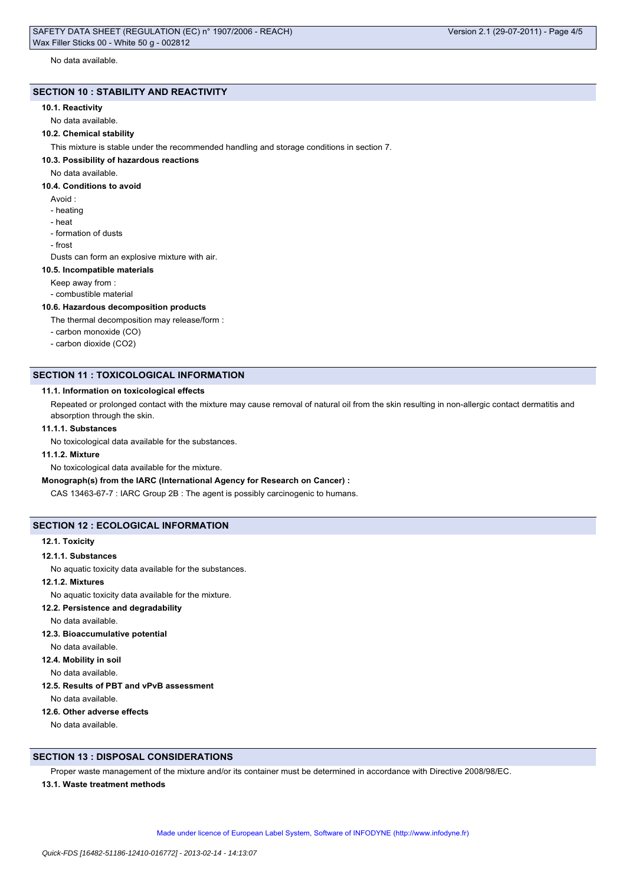No data available.

# **SECTION 10 : STABILITY AND REACTIVITY**

### **10.1. Reactivity**

No data available.

# **10.2. Chemical stability**

This mixture is stable under the recommended handling and storage conditions in section 7.

#### **10.3. Possibility of hazardous reactions**

No data available.

#### **10.4. Conditions to avoid**

- Avoid :
- heating
- heat
- formation of dusts
- frost

Dusts can form an explosive mixture with air.

#### **10.5. Incompatible materials**

Keep away from :

- combustible material

#### **10.6. Hazardous decomposition products**

The thermal decomposition may release/form :

- carbon monoxide (CO)
- carbon dioxide (CO2)

# **SECTION 11 : TOXICOLOGICAL INFORMATION**

#### **11.1. Information on toxicological effects**

Repeated or prolonged contact with the mixture may cause removal of natural oil from the skin resulting in non-allergic contact dermatitis and absorption through the skin.

### **11.1.1. Substances**

No toxicological data available for the substances.

# **11.1.2. Mixture**

No toxicological data available for the mixture.

# **Monograph(s) from the IARC (International Agency for Research on Cancer) :**

CAS 13463-67-7 : IARC Group 2B : The agent is possibly carcinogenic to humans.

# **SECTION 12 : ECOLOGICAL INFORMATION**

#### **12.1. Toxicity**

#### **12.1.1. Substances**

No aquatic toxicity data available for the substances.

# **12.1.2. Mixtures**

No aquatic toxicity data available for the mixture.

**12.2. Persistence and degradability**

No data available.

- **12.3. Bioaccumulative potential**
- No data available.

**12.4. Mobility in soil**

No data available.

**12.5. Results of PBT and vPvB assessment**

No data available.

# **12.6. Other adverse effects**

No data available.

# **SECTION 13 : DISPOSAL CONSIDERATIONS**

Proper waste management of the mixture and/or its container must be determined in accordance with Directive 2008/98/EC.

#### **13.1. Waste treatment methods**